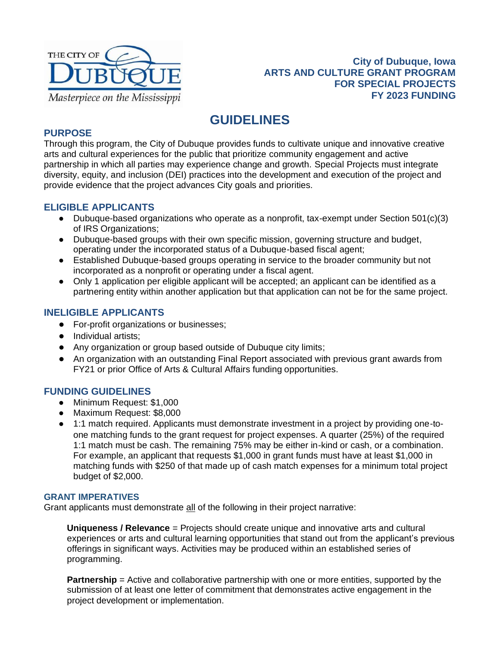

## **City of Dubuque, Iowa ARTS AND CULTURE GRANT PROGRAM FOR SPECIAL PROJECTS FY 2023 FUNDING**

# **GUIDELINES**

## **PURPOSE**

Through this program, the City of Dubuque provides funds to cultivate unique and innovative creative arts and cultural experiences for the public that prioritize community engagement and active partnership in which all parties may experience change and growth. Special Projects must integrate diversity, equity, and inclusion (DEI) practices into the development and execution of the project and provide evidence that the project advances City goals and priorities.

## **ELIGIBLE APPLICANTS**

- Dubuque-based organizations who operate as a nonprofit, tax-exempt under Section  $501(c)(3)$ of IRS Organizations;
- Dubuque-based groups with their own specific mission, governing structure and budget, operating under the incorporated status of a Dubuque-based fiscal agent;
- Established Dubuque-based groups operating in service to the broader community but not incorporated as a nonprofit or operating under a fiscal agent.
- Only 1 application per eligible applicant will be accepted; an applicant can be identified as a partnering entity within another application but that application can not be for the same project.

## **INELIGIBLE APPLICANTS**

- For-profit organizations or businesses;
- Individual artists;
- Any organization or group based outside of Dubuque city limits;
- An organization with an outstanding Final Report associated with previous grant awards from FY21 or prior Office of Arts & Cultural Affairs funding opportunities.

## **FUNDING GUIDELINES**

- Minimum Request: \$1,000
- Maximum Request: \$8,000
- 1:1 match required. Applicants must demonstrate investment in a project by providing one-toone matching funds to the grant request for project expenses. A quarter (25%) of the required 1:1 match must be cash. The remaining 75% may be either in-kind or cash, or a combination. For example, an applicant that requests \$1,000 in grant funds must have at least \$1,000 in matching funds with \$250 of that made up of cash match expenses for a minimum total project budget of \$2,000.

### **GRANT IMPERATIVES**

Grant applicants must demonstrate all of the following in their project narrative:

**Uniqueness / Relevance** = Projects should create unique and innovative arts and cultural experiences or arts and cultural learning opportunities that stand out from the applicant's previous offerings in significant ways. Activities may be produced within an established series of programming.

**Partnership** = Active and collaborative partnership with one or more entities, supported by the submission of at least one letter of commitment that demonstrates active engagement in the project development or implementation.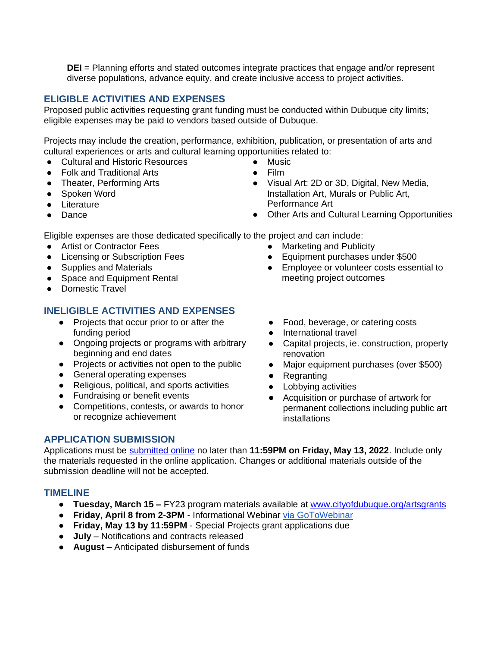**DEI** = Planning efforts and stated outcomes integrate practices that engage and/or represent diverse populations, advance equity, and create inclusive access to project activities.

## **ELIGIBLE ACTIVITIES AND EXPENSES**

Proposed public activities requesting grant funding must be conducted within Dubuque city limits; eligible expenses may be paid to vendors based outside of Dubuque.

Projects may include the creation, performance, exhibition, publication, or presentation of arts and cultural experiences or arts and cultural learning opportunities related to:

- Cultural and Historic Resources
- Folk and Traditional Arts
- Theater, Performing Arts
- Spoken Word
- Literature
- Dance
- **Music**
- Film
- Visual Art: 2D or 3D, Digital, New Media, Installation Art, Murals or Public Art, Performance Art

● Equipment purchases under \$500

meeting project outcomes

● Other Arts and Cultural Learning Opportunities

● Employee or volunteer costs essential to

Eligible expenses are those dedicated specifically to the project and can include:

- Artist or Contractor Fees
- Licensing or Subscription Fees
- Supplies and Materials
- Space and Equipment Rental
- Domestic Travel

## **INELIGIBLE ACTIVITIES AND EXPENSES**

- Projects that occur prior to or after the funding period
- Ongoing projects or programs with arbitrary beginning and end dates
- Projects or activities not open to the public
- General operating expenses
- Religious, political, and sports activities
- Fundraising or benefit events
- Competitions, contests, or awards to honor or recognize achievement
- Food, beverage, or catering costs
- International travel

● Marketing and Publicity

- Capital projects, ie. construction, property renovation
- Major equipment purchases (over \$500)
- Regranting
- Lobbying activities
- Acquisition or purchase of artwork for permanent collections including public art installations

## **APPLICATION SUBMISSION**

Applications must be [submitted online](https://cityofdubuque.slideroom.com/#/permalink/program/65909) no later than **11:59PM on Friday, May 13, 2022**. Include only the materials requested in the online application. Changes or additional materials outside of the submission deadline will not be accepted.

## **TIMELINE**

- **Tuesday, March 15 –** FY23 program materials available at [www.cityofdubuque.org/artsgrants](http://www.cityofdubuque.org/artsgrants)
- **Friday, April 8 from 2-3PM**  Informational Webinar [via GoToWebinar](https://attendee.gotowebinar.com/register/8175527981441455371)
- **Friday, May 13 by 11:59PM**  Special Projects grant applications due
- **July** Notifications and contracts released
- **August** Anticipated disbursement of funds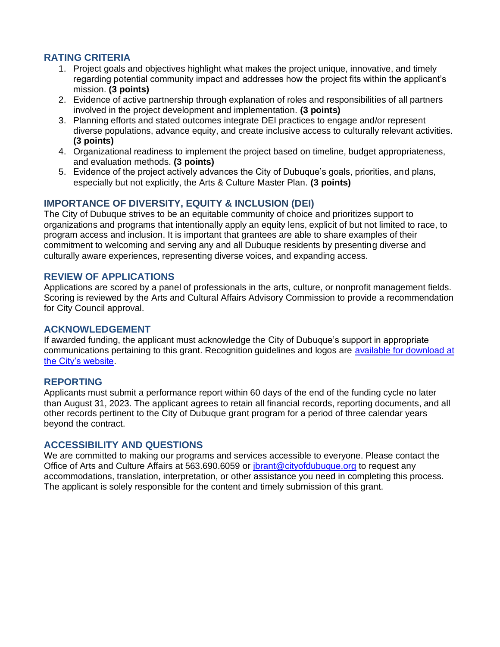## **RATING CRITERIA**

- 1. Project goals and objectives highlight what makes the project unique, innovative, and timely regarding potential community impact and addresses how the project fits within the applicant's mission. **(3 points)**
- 2. Evidence of active partnership through explanation of roles and responsibilities of all partners involved in the project development and implementation. **(3 points)**
- 3. Planning efforts and stated outcomes integrate DEI practices to engage and/or represent diverse populations, advance equity, and create inclusive access to culturally relevant activities. **(3 points)**
- 4. Organizational readiness to implement the project based on timeline, budget appropriateness, and evaluation methods. **(3 points)**
- 5. Evidence of the project actively advances the City of Dubuque's goals, priorities, and plans, especially but not explicitly, the Arts & Culture Master Plan. **(3 points)**

## **IMPORTANCE OF DIVERSITY, EQUITY & INCLUSION (DEI)**

The City of Dubuque strives to be an equitable community of choice and prioritizes support to organizations and programs that intentionally apply an equity lens, explicit of but not limited to race, to program access and inclusion. It is important that grantees are able to share examples of their commitment to welcoming and serving any and all Dubuque residents by presenting diverse and culturally aware experiences, representing diverse voices, and expanding access.

### **REVIEW OF APPLICATIONS**

Applications are scored by a panel of professionals in the arts, culture, or nonprofit management fields. Scoring is reviewed by the Arts and Cultural Affairs Advisory Commission to provide a recommendation for City Council approval.

#### **ACKNOWLEDGEMENT**

If awarded funding, the applicant must acknowledge the City of Dubuque's support in appropriate communications pertaining to this grant. Recognition guidelines and logos are [available for download at](https://www.cityofdubuque.org/392/Funding-Programs)  [the City's website.](https://www.cityofdubuque.org/392/Funding-Programs)

#### **REPORTING**

Applicants must submit a performance report within 60 days of the end of the funding cycle no later than August 31, 2023. The applicant agrees to retain all financial records, reporting documents, and all other records pertinent to the City of Dubuque grant program for a period of three calendar years beyond the contract.

### **ACCESSIBILITY AND QUESTIONS**

We are committed to making our programs and services accessible to everyone. Please contact the Office of Arts and Culture Affairs at 563.690.6059 or [jbrant@cityofdubuque.org](mailto:jbrant@cityofdubuque.org) to request any accommodations, translation, interpretation, or other assistance you need in completing this process. The applicant is solely responsible for the content and timely submission of this grant.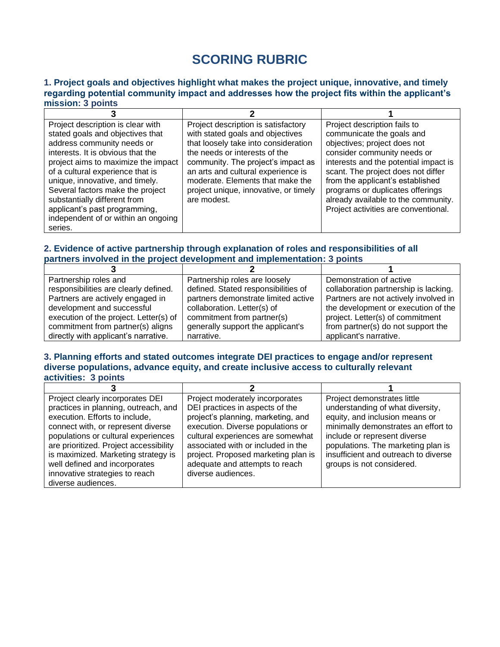# **SCORING RUBRIC**

#### **1. Project goals and objectives highlight what makes the project unique, innovative, and timely regarding potential community impact and addresses how the project fits within the applicant's mission: 3 points**

| Project description is clear with   | Project description is satisfactory   | Project description fails to          |
|-------------------------------------|---------------------------------------|---------------------------------------|
| stated goals and objectives that    | with stated goals and objectives      | communicate the goals and             |
| address community needs or          | that loosely take into consideration  | objectives; project does not          |
| interests. It is obvious that the   | the needs or interests of the         | consider community needs or           |
| project aims to maximize the impact | community. The project's impact as    | interests and the potential impact is |
| of a cultural experience that is    | an arts and cultural experience is    | scant. The project does not differ    |
| unique, innovative, and timely.     | moderate. Elements that make the      | from the applicant's established      |
| Several factors make the project    | project unique, innovative, or timely | programs or duplicates offerings      |
| substantially different from        | are modest.                           | already available to the community.   |
| applicant's past programming,       |                                       | Project activities are conventional.  |
| independent of or within an ongoing |                                       |                                       |
| series.                             |                                       |                                       |

### **2. Evidence of active partnership through explanation of roles and responsibilities of all partners involved in the project development and implementation: 3 points**

| Partnership roles and                  | Partnership roles are loosely       | Demonstration of active               |
|----------------------------------------|-------------------------------------|---------------------------------------|
| responsibilities are clearly defined.  | defined. Stated responsibilities of | collaboration partnership is lacking. |
| Partners are actively engaged in       | partners demonstrate limited active | Partners are not actively involved in |
| development and successful             | collaboration. Letter(s) of         | the development or execution of the   |
| execution of the project. Letter(s) of | commitment from partner(s)          | project. Letter(s) of commitment      |
| commitment from partner(s) aligns      | generally support the applicant's   | from partner(s) do not support the    |
| directly with applicant's narrative.   | narrative.                          | applicant's narrative.                |

#### **3. Planning efforts and stated outcomes integrate DEI practices to engage and/or represent diverse populations, advance equity, and create inclusive access to culturally relevant activities: 3 points**

| Project clearly incorporates DEI<br>practices in planning, outreach, and<br>execution. Efforts to include,<br>connect with, or represent diverse<br>populations or cultural experiences | Project moderately incorporates<br>DEI practices in aspects of the<br>project's planning, marketing, and<br>execution. Diverse populations or<br>cultural experiences are somewhat | Project demonstrates little<br>understanding of what diversity,<br>equity, and inclusion means or<br>minimally demonstrates an effort to<br>include or represent diverse |  |
|-----------------------------------------------------------------------------------------------------------------------------------------------------------------------------------------|------------------------------------------------------------------------------------------------------------------------------------------------------------------------------------|--------------------------------------------------------------------------------------------------------------------------------------------------------------------------|--|
| are prioritized. Project accessibility<br>is maximized. Marketing strategy is<br>well defined and incorporates<br>innovative strategies to reach<br>diverse audiences.                  | associated with or included in the<br>project. Proposed marketing plan is<br>adequate and attempts to reach<br>diverse audiences.                                                  | populations. The marketing plan is<br>insufficient and outreach to diverse<br>groups is not considered.                                                                  |  |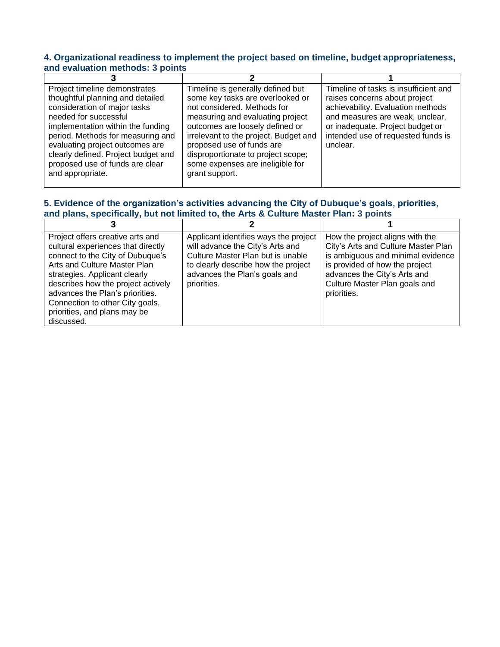#### **4. Organizational readiness to implement the project based on timeline, budget appropriateness, and evaluation methods: 3 points**

| Project timeline demonstrates<br>thoughtful planning and detailed<br>consideration of major tasks<br>needed for successful<br>implementation within the funding<br>period. Methods for measuring and<br>evaluating project outcomes are<br>clearly defined. Project budget and<br>proposed use of funds are clear<br>and appropriate. | Timeline is generally defined but<br>some key tasks are overlooked or<br>not considered. Methods for<br>measuring and evaluating project<br>outcomes are loosely defined or<br>irrelevant to the project. Budget and<br>proposed use of funds are<br>disproportionate to project scope;<br>some expenses are ineligible for<br>grant support. | Timeline of tasks is insufficient and<br>raises concerns about project<br>achievability. Evaluation methods<br>and measures are weak, unclear,<br>or inadequate. Project budget or<br>intended use of requested funds is<br>unclear. |
|---------------------------------------------------------------------------------------------------------------------------------------------------------------------------------------------------------------------------------------------------------------------------------------------------------------------------------------|-----------------------------------------------------------------------------------------------------------------------------------------------------------------------------------------------------------------------------------------------------------------------------------------------------------------------------------------------|--------------------------------------------------------------------------------------------------------------------------------------------------------------------------------------------------------------------------------------|

## **5. Evidence of the organization's activities advancing the City of Dubuque's goals, priorities, and plans, specifically, but not limited to, the Arts & Culture Master Plan: 3 points**

 $\overline{a}$ 

| Project offers creative arts and<br>cultural experiences that directly<br>connect to the City of Dubuque's<br>Arts and Culture Master Plan<br>strategies. Applicant clearly<br>describes how the project actively<br>advances the Plan's priorities.<br>Connection to other City goals,<br>priorities, and plans may be<br>discussed. | Applicant identifies ways the project<br>will advance the City's Arts and<br>Culture Master Plan but is unable<br>to clearly describe how the project<br>advances the Plan's goals and<br>priorities. | How the project aligns with the<br>City's Arts and Culture Master Plan<br>is ambiguous and minimal evidence<br>is provided of how the project<br>advances the City's Arts and<br>Culture Master Plan goals and<br>priorities. |
|---------------------------------------------------------------------------------------------------------------------------------------------------------------------------------------------------------------------------------------------------------------------------------------------------------------------------------------|-------------------------------------------------------------------------------------------------------------------------------------------------------------------------------------------------------|-------------------------------------------------------------------------------------------------------------------------------------------------------------------------------------------------------------------------------|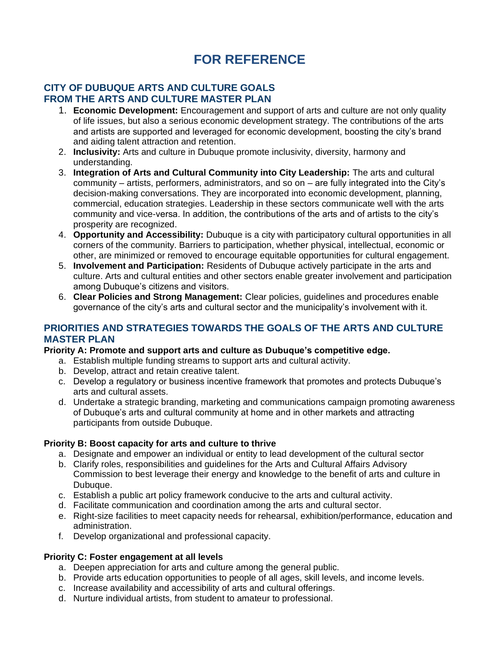# **FOR REFERENCE**

## **CITY OF DUBUQUE ARTS AND CULTURE GOALS FROM THE ARTS AND CULTURE MASTER PLAN**

- 1. **Economic Development:** Encouragement and support of arts and culture are not only quality of life issues, but also a serious economic development strategy. The contributions of the arts and artists are supported and leveraged for economic development, boosting the city's brand and aiding talent attraction and retention.
- 2. **Inclusivity:** Arts and culture in Dubuque promote inclusivity, diversity, harmony and understanding.
- 3. **Integration of Arts and Cultural Community into City Leadership:** The arts and cultural community – artists, performers, administrators, and so on – are fully integrated into the City's decision-making conversations. They are incorporated into economic development, planning, commercial, education strategies. Leadership in these sectors communicate well with the arts community and vice-versa. In addition, the contributions of the arts and of artists to the city's prosperity are recognized.
- 4. **Opportunity and Accessibility:** Dubuque is a city with participatory cultural opportunities in all corners of the community. Barriers to participation, whether physical, intellectual, economic or other, are minimized or removed to encourage equitable opportunities for cultural engagement.
- 5. **Involvement and Participation:** Residents of Dubuque actively participate in the arts and culture. Arts and cultural entities and other sectors enable greater involvement and participation among Dubuque's citizens and visitors.
- 6. **Clear Policies and Strong Management:** Clear policies, guidelines and procedures enable governance of the city's arts and cultural sector and the municipality's involvement with it.

## **PRIORITIES AND STRATEGIES TOWARDS THE GOALS OF THE ARTS AND CULTURE MASTER PLAN**

## **Priority A: Promote and support arts and culture as Dubuque's competitive edge.**

- a. Establish multiple funding streams to support arts and cultural activity.
- b. Develop, attract and retain creative talent.
- c. Develop a regulatory or business incentive framework that promotes and protects Dubuque's arts and cultural assets.
- d. Undertake a strategic branding, marketing and communications campaign promoting awareness of Dubuque's arts and cultural community at home and in other markets and attracting participants from outside Dubuque.

### **Priority B: Boost capacity for arts and culture to thrive**

- a. Designate and empower an individual or entity to lead development of the cultural sector
- b. Clarify roles, responsibilities and guidelines for the Arts and Cultural Affairs Advisory Commission to best leverage their energy and knowledge to the benefit of arts and culture in Dubuque.
- c. Establish a public art policy framework conducive to the arts and cultural activity.
- d. Facilitate communication and coordination among the arts and cultural sector.
- e. Right-size facilities to meet capacity needs for rehearsal, exhibition/performance, education and administration.
- f. Develop organizational and professional capacity.

## **Priority C: Foster engagement at all levels**

- a. Deepen appreciation for arts and culture among the general public.
- b. Provide arts education opportunities to people of all ages, skill levels, and income levels.
- c. Increase availability and accessibility of arts and cultural offerings.
- d. Nurture individual artists, from student to amateur to professional.